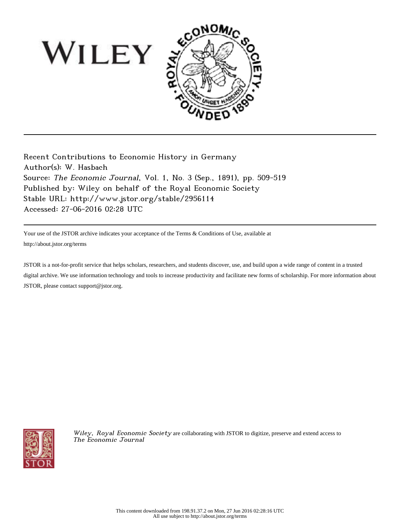

Recent Contributions to Economic History in Germany Author(s): W. Hasbach Source: The Economic Journal, Vol. 1, No. 3 (Sep., 1891), pp. 509-519 Published by: Wiley on behalf of the Royal Economic Society Stable URL: http://www.jstor.org/stable/2956114 Accessed: 27-06-2016 02:28 UTC

Your use of the JSTOR archive indicates your acceptance of the Terms & Conditions of Use, available at http://about.jstor.org/terms

JSTOR is a not-for-profit service that helps scholars, researchers, and students discover, use, and build upon a wide range of content in a trusted digital archive. We use information technology and tools to increase productivity and facilitate new forms of scholarship. For more information about JSTOR, please contact support@jstor.org.



Wiley, Royal Economic Society are collaborating with JSTOR to digitize, preserve and extend access to The Economic Journal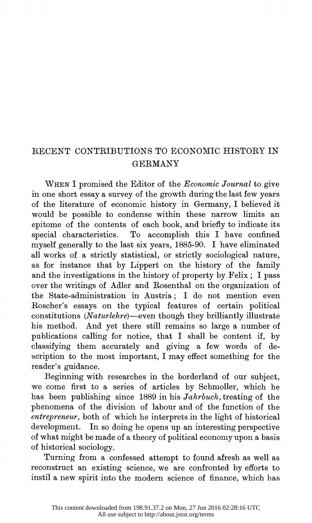## RECENT CONTRIBUTIONS TO ECONOMIC HISTORY IN  $\alpha$  the  $\alpha$  in the history of property by Felix;  $\alpha$  passes in the history of passes in the history of passes in the history of passes in the history of passes in the history of passes in the history of passes in the h over the writings of Adler and Rosenthal on the organization of

WHEN I promised the Editor of the Economic Journal to give in one short essay a survey of the growth during the last few years of the literature of economic history in Germany, I believed it would be possible to condense within these narrow limits an epitome of the contents of each book, and briefly to indicate its special characteristics. To accomplish this I have confined myself generally to the last six years, 1885-90. I have eliminated all works of a strictly statistical, or strictly sociological nature, as for instance that by Lippert on the history of the family and the investigations in the history of property by Felix; I pass over the writings of Adler and Rosenthal on the organization of the State-administration in Austria; I do not mention even Roscher's essays on the typical features of certain political constitutions  $(Nature here)$ —even though they brilliantly illustrate his method. And yet there still remains so large a number of publications calling for notice, that I shall be content if, by classifying them accurately and giving a few words of dereconstruct and accurately and giving a lew words of de- $\frac{1}{1}$ , which mode important, range enect sometime for the

Beginning with researches in the borderland of our subject, we come first to a series of articles by Schmoller, which he has been publishing since 1889 in his *Jahrbuch*, treating of the phenomena of the division of labour and of the function of the entrepreneur, both of which he interprets in the light of historical development. In so doing he opens up an interesting perspective of what might be made of a theory of political economy upon a basis of historical sociology.

Turning from a confessed attempt to found afresh as well as reconstruct an existing science, we are confronted by efforts to instil a new spirit into the modern science of finance, which has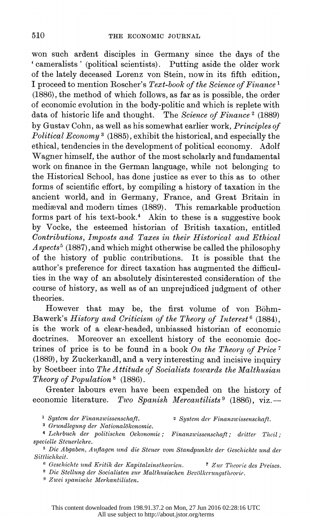won such ardent disciples in Germany since the days of the ' cameralists ' (political scientists). Putting aside the older work of the lately deceased Lorenz von Stein, now in its fifth edition, I proceed to mention Roscher's Text-book of the Science of Finance 1 (1886), the method of which follows, as far as is possible, the order of economic evolution in the body-politic and which is replete with data of historic life and thought. The Science of Finance<sup>2</sup> (1889) by Gustav Cohn, as well as his somewhat earlier work, Principles of Political Economy<sup>3</sup> (1885), exhibit the historical, and especially the ethical, tendencies in the development of political economy. Adolf Wagner himself, the author of the most scholarly and fundamental work on finance in the German language, while not belonging to the Historical School, has done justice as ever to this as to other forms of scientific effort, by compiling a history of taxation in the ancient world, and in Germany, France, and Great Britain in mediaval and modern times (1889). This remarkable production forms part of his text-book.<sup>4</sup> Akin to these is a suggestive book by Vocke, the esteemed historian of British taxation, entitled Contributions, Imposts and Taxes in their Historical and Ethical  $Aspects<sup>5</sup> (1887), and which might otherwise be called the philosophy$ of the history of public contributions. It is possible that the author's preference for direct taxation has augmented the difficul ties in the way of an absolutely disinterested consideration of the course of history, as well as of an unprejudiced judgment of other theories.

However that may be, the first volume of von Böhm-Bawerk's History and Criticism of the Theory of Interest<sup>6</sup> (1884), is the work of a clear-headed, unbiassed historian of economic doctrines. Moreover an excellent history of the economic doc trines of price is to be found in a book On the Theory of Price<sup>7</sup> (1889), by Zuckerkandl, and a very interesting and incisive inquiry by Soetbeer into The Attitude of Socialists towards the Malthusian Theory of Population<sup>8</sup> (1886).

 Greater labours even have been expended on the history of economic literature. Two Spanish Mercantilists<sup>9</sup> (1886), viz.-

<sup>1</sup> System der Finanzwissenschaft. 2 System der Finanzwissenschaft.

<sup>3</sup> Grundlegung der Nationalökonomie.

<sup>4</sup> Lehrbuch der politischen Oekonomie; Finanzwissenschaft; dritter Theil; specielle Steuerlehre.

<sup>5</sup> Die Abgaben, Auflagen und die Steuer vom Standpunkte der Geschichte und der Sittlichkeit.

 $6$  Geschichte und Kritik der Kapitalzinstheorien.  $7$  Zur Theorie des Preises.

8 Die Stellung der Socialisten zur Malthusischen Beviilkerungstheorie.

9 Ziwei spanische Merkantilisten.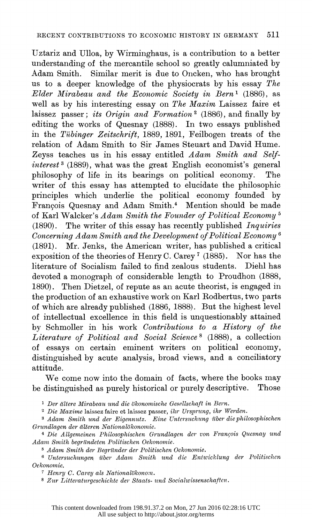Uztariz and Ulloa, by Wirminghaus, is a contribution to a better understanding of the mercantile school so greatly calumniated by Adam Smith. Similar merit is due to Oncken, who has brought us to a deeper knowledge of the physiocrats by his essay  $The$  Elder Mirabeau and the Economic Society in Bern' (1886), as well as by his interesting essay on The Maxim Laissez faire et laissez passer; its Origin and Formation<sup>2</sup> (1886), and finally by editing the works of Quesnay (1888). In two essays published in the Tiibinger Zeitschrift, 1889, 1891, Feilbogen treats of the relation of Adam Smith to Sir James Steuart and David Hume. Zeyss teaches us in his essay entitled Adam Smith and Self  $interest$ <sup>3</sup> (1889), what was the great English economist's general philosophy of life in its bearings on political economy. The writer of this essay has attempted to elucidate the philosophic principles which underlie the political economy founded by Fran9ois Quesnay and Adam Smith.4 Mention should be made of Karl Walcker's Adam Smith the Founder of Political Economy 5 (1890). The writer of this essay has recently published Inquiries  $\emph{Concerning Adam Smith}$  and the Development of Political Economy<sup>6</sup> (1891). Mr. Jenks, the American writer, has published a critical exposition of the theories of Henry C. Carey 7 (1885). Nor has the literature of Socialism failed to find zealous students. Diehl has devoted a monograph of considerable length to Proudhon (1888, 1890). Then Dietzel, of repute as an acute theorist, is engaged in the production of an exhaustive work on Karl Rodbertus, two parts of which are already published (1886, 1888). But the highest level of intellectual excellence in this field is unquestionably attained by Schmoller in his work Contributions to a History of the Literature of Political and Social Science 8 (1888), a collection of essays on certain eminent writers on political economy, distinguished by acute analysis, broad views, and a conciliatory attitude.

 We come now into the domain of facts, where the books may be distinguished as purely historical or purely descriptive. Those

<sup>1</sup> Der ältere Mirabeau und die ökonomische Gesellschaft in Bern.

<sup>2</sup> Die Maxime laissez faire et laissez passer, ihr Ursprung, ihr Werden.

<sup>3</sup> Adam Smith und der Eigennutz. Eine Untersuchung über die philosophischen Grundlagen der älteren Nationalökonomie.

<sup>4</sup> Die Allgemeinen Philosophischen Grundlagen der von François Quesnay und Adamz Smith begrilndeten Politischen Oekonomie.

5 Adam Smith der Begründer der Politischen Ockonomie.

<sup>6</sup> Untersuchungen über Adam Smith und die Entwicklung der Politischen Oekonomie.

 $7$  Henry C. Carey als Nationalökonom.

8 Zur Litteraturgeschichte der Staats- und Socialwissenschaften.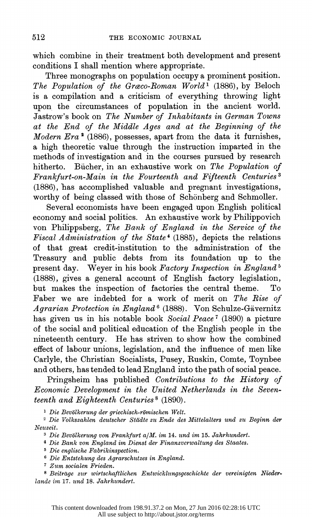which combine in their treatment both development and present conditions I shall mention where appropriate.

 Three monographs on population occupy a prominent position. The Population of the Graco-Roman World<sup>1</sup> (1886), by Beloch is a compilation and a criticism of everything throwing light upon the circumstances of population in the ancient world. Jastrow's book on The Number of Inhabitants in German Towns at the End of the Middle Ages and at the Beginning of the Modern  $Era^2$  (1886), possesses, apart from the data it furnishes, a high theoretic value through the instruction imparted in the methods of investigation and in the courses pursued by research hitherto. Bücher, in an exhaustive work on The Population of Frankfurt-on-Main in the Fourteenth and Fifteenth Centuries<sup>3</sup> (1886), has accomplished valuable and pregnant investigations, worthy of being classed with those of Schönberg and Schmoller.

 Several economists have been engaged upon English political economy and social politics. An exhaustive work by Philippovich von Philippsberg, The Bank of England in the Service of the Fiscal Administration of the State<sup>4</sup> (1885), depicts the relations of that great credit-institution to the administration of the Treasury and public debts from its foundation up to the present day. Weyer in his book Factory Inspection in England<sup>5</sup> (1888), gives a general account of English factory legislation, but makes the inspection of factories the central theme. Faber we are indebted for a work of merit on The Rise of Agrarian Protection in England<sup>6</sup> (1888). Von Schulze-Gävernitz has given us in his notable book Social Peace<sup>7</sup> (1890) a picture of the social and political education of the English people in the nineteenith century. He has striven to show how the combined effect of labour unions, legislation, and the influence of men like Carlyle, the Christian Socialists, Pusey, Ruskin, Comte, Toynbee and others, has tended to lead England into the path of social peace.

 Pringsheim has published Contributions to the History of Economic Development in the United Netherlands in the Seven teenth and Eighteenth Centuries 8 (1890).

<sup>1</sup> Die Bevölkerung der griechisch-römischen Welt.

<sup>2</sup> Die Volkszahlen deutscher Städte zu Ende des Mittelalters und zu Beginn der Neuzeit.

 $3$  Die Bevölkerung von Frankfurt a/M. im 14. und im 15. Jahrhundert.

<sup>4</sup> Die Bank von England im Dienst der Finanzverwaltung des Staates.

5 Die englische Fabrikinspection.

 $6$  Die Entstehung des Agrarschutzes in England.

<sup>7</sup> Zum socialen Frieden.

8 Beitrage zur wirtschaftlichen Entwicklungsgeschichte der vereinigten Niederlande im 17. und 18. Jahrhundert.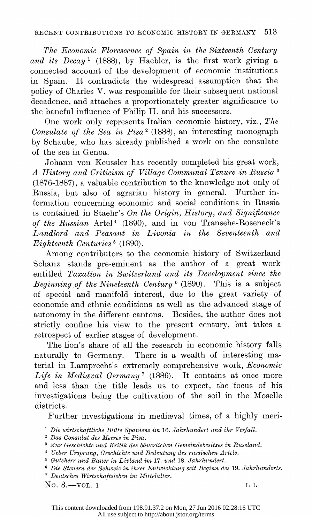The Economic Florescence of Spain in the Sixteenth Century and its Decay<sup>1</sup> (1888), by Haebler, is the first work giving a connected accounit of the development of economic institutions in Spain. It contradicts the widespread assumption that the policy of Charles V. was responsible for their subsequent national decadence, and attaches a proportionately greater significance to the baneful influence of Philip II. and his successors.

 One work only represents Italian economic history, viz., The Consulate of the Sea in Pisa<sup>2</sup> (1888), an interesting monograph by Schaube, who has already published a work on the consulate ,of the sea in Genoa.

Johann von Keussler has recently completed his great work, A History antd Criticism of Village Communal Tenure in Russia 3  $(1876-1887)$ , a valuable contribution to the knowledge not only of Russia, but also of agrarian history in general. Further in formation concerning economic and social conditions in Russia is contained in Staehr's On the Origin, History, and Significance of the Russian Artel<sup>4</sup> (1890), and in von Transehe-Roseneck's Landlord and Peasant in Livonia in the Seventeenth and Eighteenth Centuries<sup>5</sup> (1890).

 Among contributors to the economic history of Switzerland Schanz stands pre-eminent as the author of a great work entitled Taxation in Switzerland and its Development since the Beginning of the Nineteenth Century<sup>6</sup> (1890). This is a subject of special and manifold interest, due to the great variety of economic and ethnic conditions as well as the advanced stage of autonomy in the different cantons. Besides, the author does not strictly confine his view to the present century, but takes a retrospect of earlier stages of development.

 The lion's share of all the research in economic history falls naturally to Germany. There is a wealth of interesting ma terial in Lamprecht's extremely comprehensive work, Economic Life in Mediaval Germany<sup>7</sup> (1886). It contains at once more and less than the title leads us to expect, the focus of his investigations being the cultivation of the soil in the Moselle districts.

Further investigations in mediaeval times, of a highly meri-

- Die wirtschaftliche Blilte Spaniens im 16. Jahrhundert und ihr Verfall.
- Das Consulat des Meeres in Pisa.
- <sup>3</sup> Zur Geschichte und Kritik des bäuerlichen Gemeindebesitzes in Russland.
- <sup>4</sup> Ueber Ursprung, Geschichte und Bedeutung des russischen Artels.
- 5Gutsherr und Bauer in Livland im 17. und 18. Jahrhundert.
- <sup>6</sup> Die Steuern der Schweiz in ihrer Entwicklung seit Beginn des 19. Jahrhunderts.
- *The Steaten der Schweiz in inter Entwickling seit Beginn des 13. Jahrt*<br><sup>7</sup> Deutsches Wirtschaftsleben im Mittelalter.<br>NO. 3.—VOL. I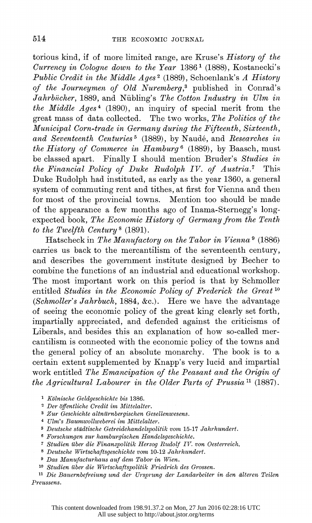torious kind, if of more limited range, are Kruse's History of the Currency in Cologne down to the Year  $1386^{\text{T}}$  (1888), Kostanecki's Public Credit in the Middle Ages<sup>2</sup> (1889), Schoenlank's A History of the Journeymen of Old Nuremberg,<sup>3</sup> published in Conrad's  $Jahrbücher, 1889, and Nübling's The Cotton Industry in Ulm in$ the Middle  $Ages^4$  (1890), an inquiry of special merit from the great mass of data collected. The two works, The Politics of the Municipal Corn-trade in Germany during the Fifteenth, Sixteenth, and Seventeenth Centuries<sup>5</sup> (1889), by Naudé, and Researches in the History of Commerce in Hamburg<sup>6</sup> (1889), by Baasch, must be classed apart. Finally I should mention Bruder's Studies in the Financial Policy of Duke Rudolph IV. of Austria.7 This Duke Rudolph had instituted, as early as the year 1360, a general system of commuting rent and tithes, at first for Vienna and then for most of the provincial towns. Mention too should be made of the appearance a few months ago of Inama-Sternegg's longexpected book, The Economic History of Germany from the Tenth to the Twelfth Century 8 (1891).

Hatscheck in The Manufactory on the Tabor in Vienna<sup>9</sup> (1886) carries us back to the mercanitilism of the seventeenth century, and describes the government institute designed by Becher to combine the functions of an industrial and educational workshop. The most important work on this period is that by Schmoller entitled Studies in the Economic Policy of Frederick the Great<sup>10</sup> (Schmoller's Jahrbuch, 1884, &c.). Here we have the advantage of seeing the economic policy of the great king clearly set forth, impartially appreciated, and defended against the criticisms of Liberals, and besides this an explanation of how so-called mer cantilism is connected with the economic policy of the towns anid the general policy of an absolute monarchy. The book is to a certain extent supplemented by Knapp's very lucid and impartial work entitled The Emancipation of the Peasant and the Origin of the Agricultural Labourer in the Older Parts of Prussia<sup>11</sup> (1887).

- Kolnische Geldgeschichte bis 1386.
- <sup>2</sup> Der öffentliche Credit im Mittelalter.
- 3 Zur Geschichte altnilrnbergischen Gesellenwesens.
- 4 Ulm's Baumwollweberei im Mittelalter.
- 5 Deutsche stddtische Getreidehandelspolitik von 15-17 Jahrhundert.
- B Forschungen zur hamburgischen Handelsgeschichte.
- 7 Studien itber die Finanzspolitik Herzog Rudolf IV. von Oesterreieh.
- 8 Deutsche Wirtschaftsgeschichte vom 10-12 Jahrhundert.
- <sup>9</sup> Das Manufacturhaus auf dem Tabor in Wien.
- 10 Studien iuber die Wirtschaftspolitik Friedrich des Grossen.

<sup>11</sup> Die Bauernbefreiung und der Ursprung der Landarbeiter in den älteren Teilen Preussens.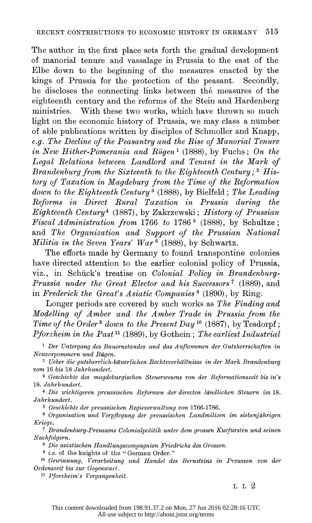The author in the first place sets forth the gradual development of manorial tenure and vassalage in Prussia to the east of the Elbe down to the beginning of the measures enacted by the kings of Prussia for the protection of the peasant. Secondly, he discloses the connecting links between the measures of the eighteenth century and the reforms of the Stein and Hardenberg ministries. With these two works, which have thrown so much light on the economic history of Prussia, we may class a number of able publications written by disciples of Schmoller and Knapp, e.g. The Decline of the Peasantry and the Rise of Manorial Tenure in New Hither-Pomerania and Rügen<sup>1</sup> (1888), by Fuchs; On the Legal Relations between Landlord and Tenant in the Mark of Brandenburg from the Sixteenth to the Eighteenth Century;  $2$  His tory of Taxation in Magdeburg from the Time of the Reformation down to the Eighteenth Century<sup>3</sup> (1888), by Bielfeld; The Leading Reforms in Direct Rural Taxation in Prussia during the  $Eighteenth Century<sup>4</sup>$  (1887), by Zakrzewski; History of Prussian Fiscal Administration from 1766 to 1786<sup>5</sup> (1888), by Schultze; and The Organization and Support of the Prussian National Militia in the Seven Years' War<sup>6</sup> (1888), by Schwartz.

 The efforts made by Germany to found transpontine colonies have directed attention to the earlier colonial policy of Prussia, viz., in Schück's treatise on Colonial Policy in Brandenburg-Prussia under the Great Elector and his Successors<sup>7</sup> (1889), and in Frederick the Great's Asiatic Companies<sup>8</sup> (1890), by Ring.

Longer periods are covered by such works as The Finding and Modelling of Amber and the Amber Trade in Prussia from the Time of the Order<sup>9</sup> down to the Present Day<sup>10</sup> (1887), by Tesdorpf; Pforzheim in the Past<sup>11</sup> (1889), by Gothein; The earliest Industrial

<sup>1</sup> Der Untergang des Bauernstandes und das Aufkommen der Gutsherrschaften in Neuvorpommern und Ruigen.

 2 Ueber die gutsherrlich-bdiuerlichen Rechtsverhdltnisse in der Mark Brandenburg vom 16 bis 18 Jahrhundert.

<sup>3</sup> Geschichte des magdeburgischen Steuerwesens von der Reformationszeit bis in's 18. Jahrhundert.

<sup>4</sup> Die wichtigeren preussischen Reformen der directen ländlichen Steuern im 18. Jahrhundert.

5 Geschichte der preussischen Regieverwaltung von 1766-1786.

<sup>6</sup> Organisation und Verpflegung der preussischen Landmilizen im siebenjährigen Kriege.

 7 Brandenburg-Preussens Colonialpolitik unter dem grossen Kurfursten und seinen Nachfolgern.

 $8$  Die asiatischen Handlungscompagnien Friedrichs des Grossen.

9 i.e. of fhe knights of the " German Order."

 10 Gewinnung, Verarbeitung und Handel des Bernsteins in Preussen von der Ordenszeit bis zur Gegenwart.

11 Pforzheim's Vergangenheit.

L L 2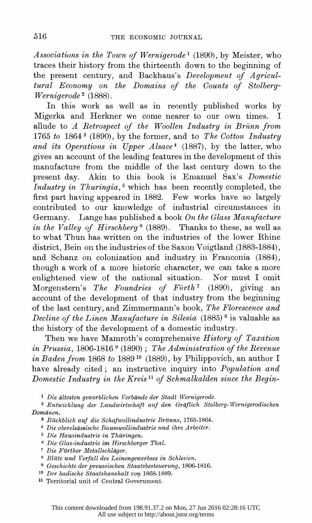Associations in the Town of Wernigerode<sup>1</sup> (1890), by Meister, who traces their history from the thirteenth down to the beginning of the present century, and Backhaus's *Development of Agricul* tural Economy on the Domains of the Counts of Stolberg- Wernigerode<sup>2</sup> (1888).

 In this work as well as in recently published works by Migerka and Herkner we come nearer to our own times. I allude to A Retrospect of the Woollen Industry in Briinn from 1765 to 1864<sup>3</sup> (1890), by the former, and to The Cotton Industry and its Operations in Upper  $Alsoce<sup>4</sup>$  (1887), by the latter, who gives an account of the leading features in the development of this manufacture from the middle of the last century down to the present day. Akin to this book is Emanuel Sax's Domestic Industry in Thuringia,<sup>5</sup> which has been recently completed, the first part having appeared in 1882. Few works have so largely contributed to our knowledge of industrial circumstances in Germany. Lange has published a book On the Glass Manufacture in the Valley of Hirschberg<sup>6</sup> (1889). Thanks to these, as well as to what Thun has written on the industries of the lower Rhine district, Bein on the industries of the Saxon Voigtland (1883-1884), and Schanz on colonization and industry in Franconia (1884), though a work of a more historic character, we can take a more enlightened view of the national situation. Nor must I omit Morgenstern's The Foundries of Fürth<sup>7</sup> (1890), giving an account of the development of that industry from the beginning of the last century, and Zimmermann's book, The Florescence and Decline of the Linen Manufacture in Silesia  $(1885)$ <sup>8</sup> is valuable as the history of the development of a domestic industry.

 Then we have Mamroth's comprehensive History of Taxation in Prussia, 1806-1816 9 (1890); The Administration of the Revenue in Baden from 1868 to 1889 10 (1889), by Philippovich, an author I have already cited; an instructive inquiry into Population and Domestic Industry in the Kreis 11 of Schmalkalden since the Begin-

1 Die altesten gewerblichen Verbande der Stadt Wernigerode.

 2 Entwicklung der Landwirtschaft auf den Grafliich Stolberg-Wernigerodischen Domänen.

<sup>3</sup> Rückblick auf die Schafwollindustrie Brünns, 1765-1864.

 $4$  Die oberelsässische Baumwollindustrie und ihre Arbeiter.

5 Die Hausindustrie in Thitringen.

Die Glas-industrie im Hirschberger Thal.

<sup>7</sup> Die Fürther Metallschläger.

S Blite und Verfall des Leinengewerbses in Schlesien.

<sup>9</sup> Geschichte der preussischen Staatsbesteuerung, 1806-1816.

10 Der badische Staatshautshalt von 1868-1889.

11 Territorial unit of Central Government.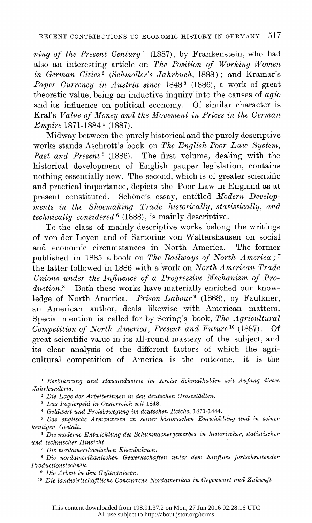ning of the Present Century<sup>1</sup> (1887), by Frankenstein, who had also an interesting article on The Position of Working Women in German Cities<sup>2</sup> (Schmoller's Jahrbuch, 1888); and Kramar's Paper Currency in Austria since 1848<sup>3</sup> (1886), a work of great theoretic value, being an inductive inquiry into the causes of agio and its influence on political economy. Of similar character is Kral's Value of Money and the Movement in Prices in the German Empire 1871-1884 4 (1887).

 Midway between the purely historical and the purely descriptive works stands Aschrott's book on The English Poor Law System, Past and Present<sup>5</sup> (1886). The first volume, dealing with the historical development of English pauper legislation, contains nothing essentially new. The second, which is of greater scientific and practical importance, depicts the Poor Law in England as at present constituted. Schöne's essay, entitled Modern Developments in the Shoemaking Trade historically, statistically, and technically considered  $6$  (1888), is mainly descriptive.

 To the class of mainly descriptive works belong the writings of von der Leyen and of Sartorius von Waltershausen on social and economic circumstances in North America. The former published in 1885 a book on The Railways of North America;<sup>7</sup> the latter followed in 1886 with a work on North American Trade Unions under the Influence of a Progressive Mechanism of Production.<sup>8</sup> Both these works have materially enriched our knowledge of North America. Prison Labour<sup>9</sup> (1888), by Faulkner, an American author, deals likewise with American matters. Special mention is called for by Sering's book, The Agricultural Competition of North America, Present and Future<sup>10</sup> (1887). Of great scientific value in its all-round mastery of the subject, and its clear analysis of the different factors of which the agri cultural competition of America is the outcome, it is the

<sup>1</sup> Bevölkerung und Hausindustrie im Kreise Schmalkalden seit Aufang dieses Jahrhunderts.

<sup>2</sup> Die Lage der Arbeiterinnen in den deutschen Groszstädten.

3 Das Papiergeld in Oesterreich seit 1848.

4 Geldwert tnd Preisbewegung im deutschen Beiche, 1871-1884.

 5 Das englische Armenwesen in seiner historischen Entwicklung und in seiner heutigen Gestalt.

<sup>6</sup> Die moderne Entwicklung des Schuhmachergewerbes in historischer, statistischer und technischer Hinsicht.

7 Die nordamerikanischen Eisenbahnen.

 8 Die nordamerikanischen Gewerkschaften unter dem Einfluss fortschreitender' Productionstechnik.

9 Die Arbeit in den Gefdngnissen.

<sup>10</sup> Die landwirtschaftliche Concurrenz Nordamerikas in Gegenwart und Zukunft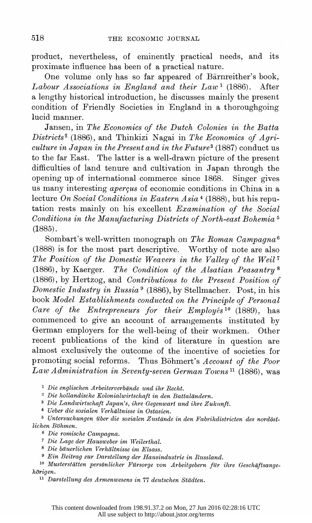product, nevertheless, of eminently practical needs, and its proximate influence has been of a practical nature.

One volume only has so far appeared of Bärnreither's book, Labour Associations in England and their  $Law<sup>1</sup>$  (1886). After a lengthy historical introduction, he discusses mainly the present condition of Friendly Societies in England in a thoroughgoing lucid manner.

 Jansen, in The Economics of the Dutch Colonies in the Batta  $Distriets<sup>2</sup>$  (1886), and Thinkizi Nagai in The Economics of Agriculture in Japan in the Present and in the Future<sup>3</sup> (1887) conduct us to the far East. The latter is a well-drawn picture of the present difficulties of land tenure and cultivation in Japan through the opening up of international commerce since 1868. Singer gives us many interesting *aperçus* of economic conditions in China in a lecture On Social Conditions in Eastern Asia<sup>4</sup> (1888), but his repu tation rests mainly on his excellent Examination of the Social Conditions in the Manufacturing Districts of North-east Bohemia 5 (1885).

Sombart's well-written monograph on The Roman Campagna<sup>6</sup> (1888) is for the most part descriptive. Worthy of note are also The Position of the Domestic Weavers in the Valley of the Weil<sup>7</sup> (1886), by Kaerger. The Condition of the Alsatian Peasantry<sup>8</sup> (1886), by Hertzog, and Contributions to the Present Position of Domestic Industry in Russia<sup>9</sup> (1886), by Stellmacher. Post, in his book Model Establishments conducted on the Principle of Personal Care of the Entrepreneurs for their Employés<sup>10</sup> (1889), has commenced to give an account of arrangements instituted by German employers for the well-being of their workmen. Other recent publications of the kind of literature in question are almost exclusively the outcome of the incentive of societies for promoting social reforms. Thus Böhmert's Account of the Poor Law Administration in Seventy-seven German Towns<sup>11</sup> (1886), was

<sup>1</sup> Die englischen Arbeiterverbände und ihr Recht.

2 Die hollandische Kolonialwirtschaft in den Battalandern.

 $3$  Die Landwirtschaft Japan's, ihre Gegenwart und ihre Zukunft.

4 Ueber die sozialen Verhdltnisse in Ostasien.

 5 Untersuchungen ilber die sozialen Zutstande in den Fabrikdistricten des nordost lichen Bohmen.

6 Die romische Campagna.

7 Die Lage der Hausweber im Weilerthal.

 $8$  Die bäuerlichen Verhältnisse im Elsass.

<sup>9</sup> Ein Beitrag zur Darstellung der Hausindustrie in Russland.

<sup>10</sup> Musterstätten persönlicher Fürsorge von Arbeitgebern für ihre Geschäftsangehörigen.

<sup>11</sup> Darstellung des Armenwesens in 77 deutschen Städten.